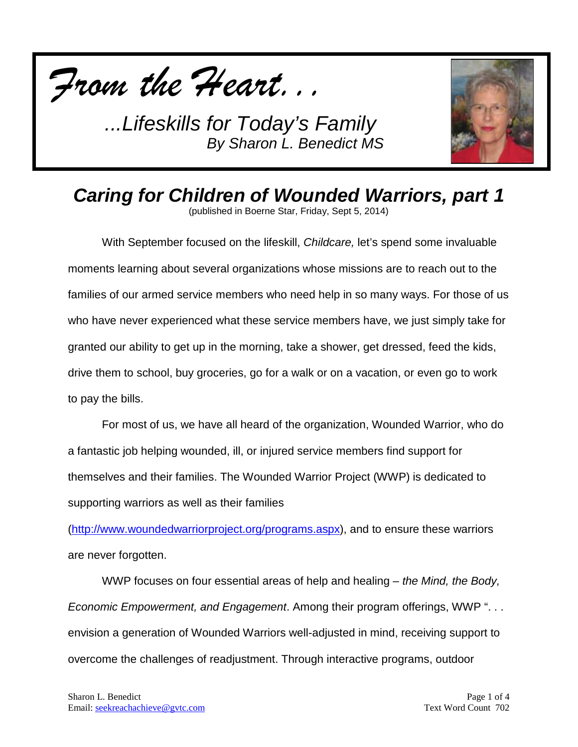



*Caring for Children of Wounded Warriors, part 1*

(published in Boerne Star, Friday, Sept 5, 2014)

With September focused on the lifeskill, *Childcare,* let's spend some invaluable moments learning about several organizations whose missions are to reach out to the families of our armed service members who need help in so many ways. For those of us who have never experienced what these service members have, we just simply take for granted our ability to get up in the morning, take a shower, get dressed, feed the kids, drive them to school, buy groceries, go for a walk or on a vacation, or even go to work to pay the bills.

For most of us, we have all heard of the organization, Wounded Warrior, who do a fantastic job helping wounded, ill, or injured service members find support for themselves and their families. The Wounded Warrior Project (WWP) is dedicated to supporting warriors as well as their families

[\(http://www.woundedwarriorproject.org/programs.aspx\)](http://www.woundedwarriorproject.org/programs.aspx), and to ensure these warriors are never forgotten.

WWP focuses on four essential areas of help and healing – *the Mind, the Body, Economic Empowerment, and Engagement*. Among their program offerings, WWP ". . . envision a generation of Wounded Warriors well-adjusted in mind, receiving support to overcome the challenges of readjustment. Through interactive programs, outdoor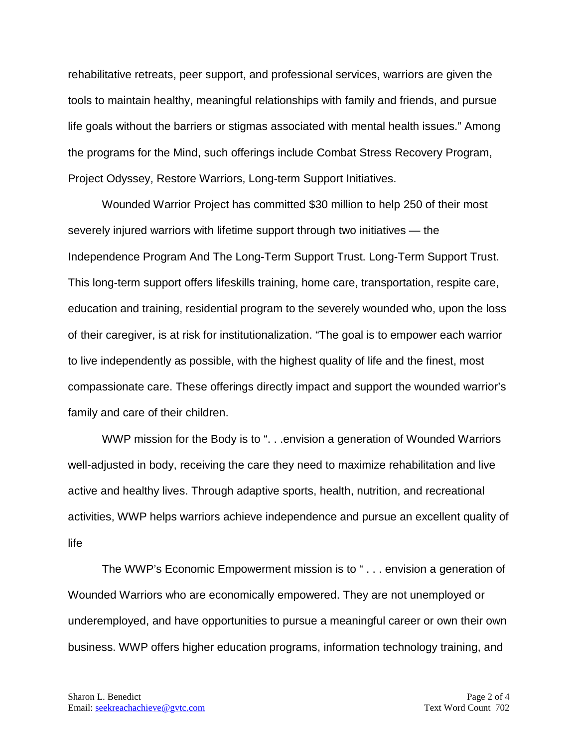rehabilitative retreats, peer support, and professional services, warriors are given the tools to maintain healthy, meaningful relationships with family and friends, and pursue life goals without the barriers or stigmas associated with mental health issues." Among the programs for the Mind, such offerings include Combat Stress Recovery Program, Project Odyssey, Restore Warriors, Long-term Support Initiatives.

Wounded Warrior Project has committed \$30 million to help 250 of their most severely injured warriors with lifetime support through two initiatives — the Independence Program And The Long-Term Support Trust. Long-Term Support Trust. This long-term support offers lifeskills training, home care, transportation, respite care, education and training, residential program to the severely wounded who, upon the loss of their caregiver, is at risk for institutionalization. "The goal is to empower each warrior to live independently as possible, with the highest quality of life and the finest, most compassionate care. These offerings directly impact and support the wounded warrior's family and care of their children.

WWP mission for the Body is to ". . . envision a generation of Wounded Warriors well-adjusted in body, receiving the care they need to maximize rehabilitation and live active and healthy lives. Through adaptive sports, health, nutrition, and recreational activities, WWP helps warriors achieve independence and pursue an excellent quality of life

The WWP's Economic Empowerment mission is to " . . . envision a generation of Wounded Warriors who are economically empowered. They are not unemployed or underemployed, and have opportunities to pursue a meaningful career or own their own business. WWP offers higher education programs, information technology training, and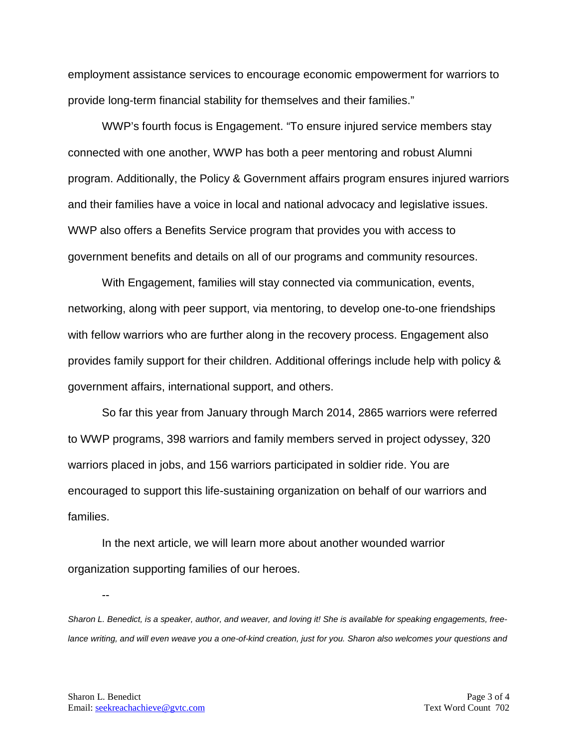employment assistance services to encourage economic empowerment for warriors to provide long-term financial stability for themselves and their families."

WWP's fourth focus is Engagement. "To ensure injured service members stay connected with one another, WWP has both a peer mentoring and robust Alumni program. Additionally, the Policy & Government affairs program ensures injured warriors and their families have a voice in local and national advocacy and legislative issues. WWP also offers a Benefits Service program that provides you with access to government benefits and details on all of our programs and community resources.

With Engagement, families will stay connected via communication, events, networking, along with peer support, via mentoring, to develop one-to-one friendships with fellow warriors who are further along in the recovery process. Engagement also provides family support for their children. Additional offerings include help with policy & government affairs, international support, and others.

So far this year from January through March 2014, 2865 warriors were referred to WWP programs, 398 warriors and family members served in project odyssey, 320 warriors placed in jobs, and 156 warriors participated in soldier ride. You are encouraged to support this life-sustaining organization on behalf of our warriors and families.

In the next article, we will learn more about another wounded warrior organization supporting families of our heroes.

*Sharon L. Benedict, is a speaker, author, and weaver, and loving it! She is available for speaking engagements, free*lance writing, and will even weave you a one-of-kind creation, just for you. Sharon also welcomes your questions and

--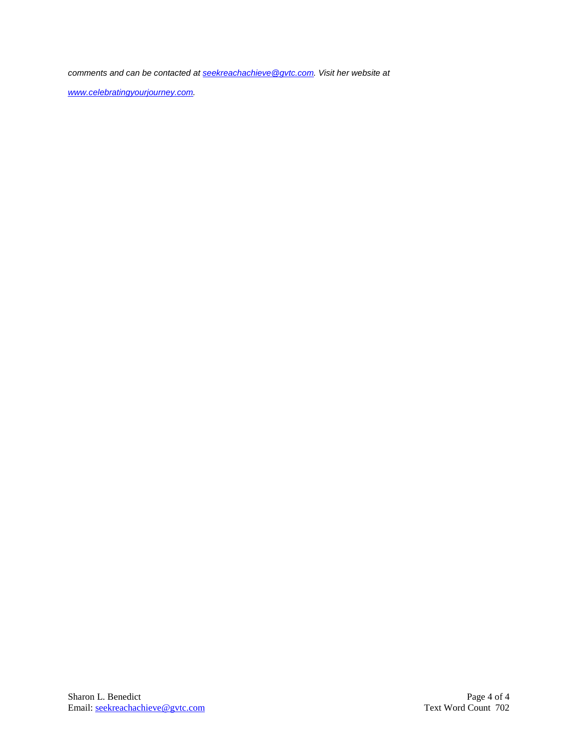*comments and can be contacted a[t seekreachachieve@gvtc.com.](mailto:seekreachachieve@gvtc.com) Visit her website at* 

*[www.celebratingyourjourney.com.](http://www.celebratingyourjourney.com/)*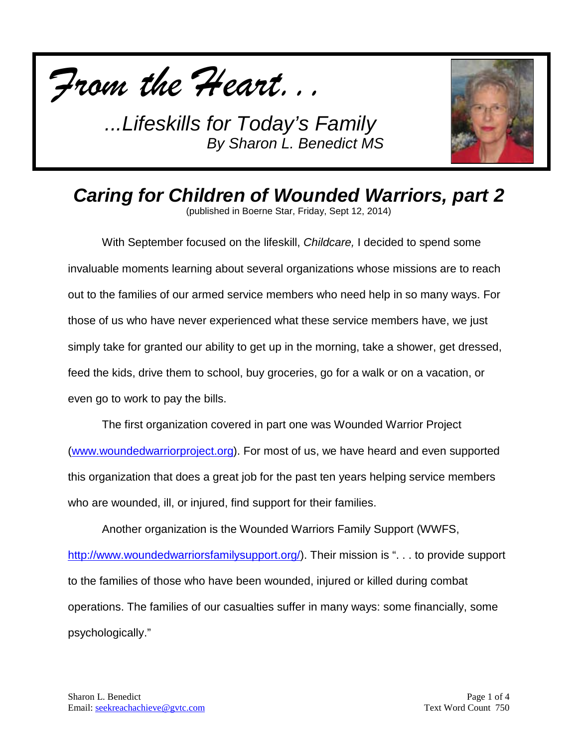



# *Caring for Children of Wounded Warriors, part 2*

(published in Boerne Star, Friday, Sept 12, 2014)

With September focused on the lifeskill, *Childcare,* I decided to spend some invaluable moments learning about several organizations whose missions are to reach out to the families of our armed service members who need help in so many ways. For those of us who have never experienced what these service members have, we just simply take for granted our ability to get up in the morning, take a shower, get dressed, feed the kids, drive them to school, buy groceries, go for a walk or on a vacation, or even go to work to pay the bills.

The first organization covered in part one was Wounded Warrior Project [\(www.woundedwarriorproject.org\)](http://www.woundedwarriorproject.org/). For most of us, we have heard and even supported this organization that does a great job for the past ten years helping service members who are wounded, ill, or injured, find support for their families.

Another organization is the Wounded Warriors Family Support (WWFS, [http://www.woundedwarriorsfamilysupport.org/\)](http://www.woundedwarriorsfamilysupport.org/). Their mission is "... to provide support to the families of those who have been wounded, injured or killed during combat operations. The families of our casualties suffer in many ways: some financially, some psychologically."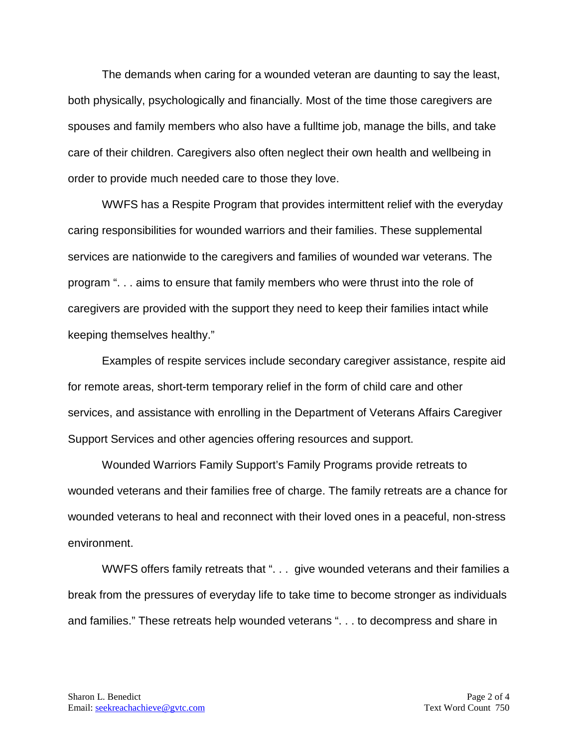The demands when caring for a wounded veteran are daunting to say the least, both physically, psychologically and financially. Most of the time those caregivers are spouses and family members who also have a fulltime job, manage the bills, and take care of their children. Caregivers also often neglect their own health and wellbeing in order to provide much needed care to those they love.

WWFS has a Respite Program that provides intermittent relief with the everyday caring responsibilities for wounded warriors and their families. These supplemental services are nationwide to the caregivers and families of wounded war veterans. The program ". . . aims to ensure that family members who were thrust into the role of caregivers are provided with the support they need to keep their families intact while keeping themselves healthy."

Examples of respite services include secondary caregiver assistance, respite aid for remote areas, short-term temporary relief in the form of child care and other services, and assistance with enrolling in the Department of Veterans Affairs Caregiver Support Services and other agencies offering resources and support.

Wounded Warriors Family Support's Family Programs provide retreats to wounded veterans and their families free of charge. The family retreats are a chance for wounded veterans to heal and reconnect with their loved ones in a peaceful, non-stress environment.

WWFS offers family retreats that ". . . give wounded veterans and their families a break from the pressures of everyday life to take time to become stronger as individuals and families." These retreats help wounded veterans ". . . to decompress and share in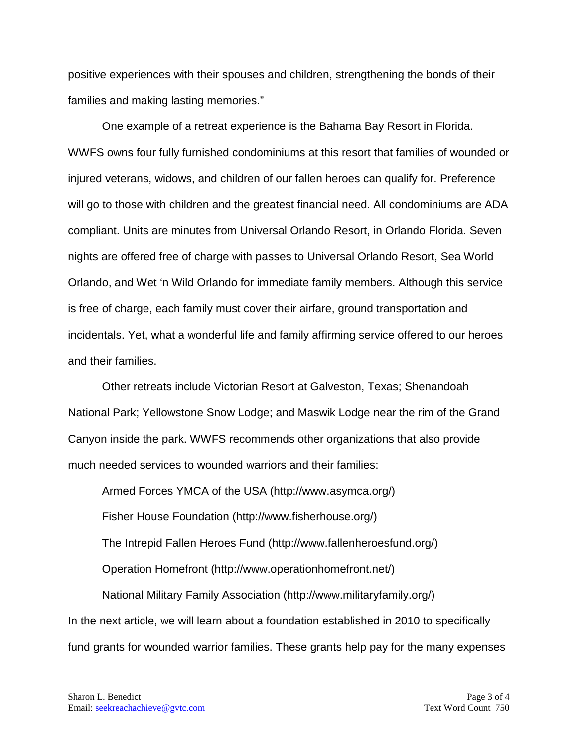positive experiences with their spouses and children, strengthening the bonds of their families and making lasting memories."

One example of a retreat experience is the Bahama Bay Resort in Florida. WWFS owns four fully furnished condominiums at this resort that families of wounded or injured veterans, widows, and children of our fallen heroes can qualify for. Preference will go to those with children and the greatest financial need. All condominiums are ADA compliant. Units are minutes from Universal Orlando Resort, in Orlando Florida. Seven nights are offered free of charge with passes to Universal Orlando Resort, Sea World Orlando, and Wet 'n Wild Orlando for immediate family members. Although this service is free of charge, each family must cover their airfare, ground transportation and incidentals. Yet, what a wonderful life and family affirming service offered to our heroes and their families.

Other retreats include Victorian Resort at Galveston, Texas; Shenandoah National Park; Yellowstone Snow Lodge; and Maswik Lodge near the rim of the Grand Canyon inside the park. WWFS recommends other organizations that also provide much needed services to wounded warriors and their families:

Armed Forces YMCA of the USA (http://www.asymca.org/) Fisher House Foundation (http://www.fisherhouse.org/) The Intrepid Fallen Heroes Fund (http://www.fallenheroesfund.org/) Operation Homefront (http://www.operationhomefront.net/) National Military Family Association (http://www.militaryfamily.org/) In the next article, we will learn about a foundation established in 2010 to specifically fund grants for wounded warrior families. These grants help pay for the many expenses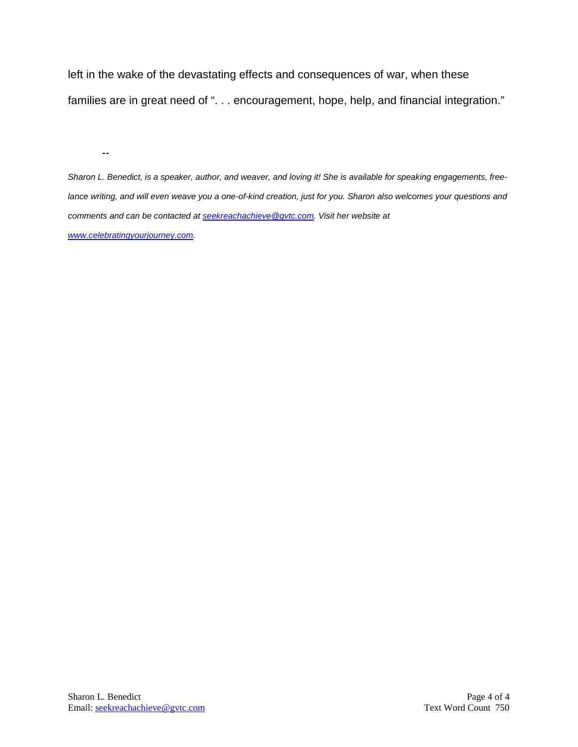left in the wake of the devastating effects and consequences of war, when these families are in great need of ". . . encouragement, hope, help, and financial integration."

--

*Sharon L. Benedict, is a speaker, author, and weaver, and loving it! She is available for speaking engagements, freelance writing, and will even weave you a one-of-kind creation, just for you. Sharon also welcomes your questions and comments and can be contacted a[t seekreachachieve@gvtc.com.](mailto:seekreachachieve@gvtc.com) Visit her website at [www.celebratingyourjourney.com.](http://www.celebratingyourjourney.com/)*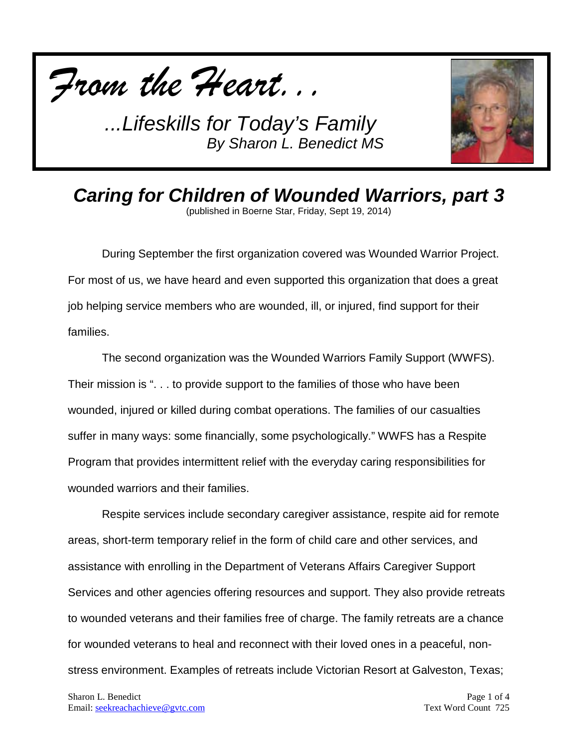



*Caring for Children of Wounded Warriors, part 3* (published in Boerne Star, Friday, Sept 19, 2014)

During September the first organization covered was Wounded Warrior Project. For most of us, we have heard and even supported this organization that does a great job helping service members who are wounded, ill, or injured, find support for their families.

The second organization was the Wounded Warriors Family Support (WWFS). Their mission is ". . . to provide support to the families of those who have been wounded, injured or killed during combat operations. The families of our casualties suffer in many ways: some financially, some psychologically." WWFS has a Respite Program that provides intermittent relief with the everyday caring responsibilities for wounded warriors and their families.

Respite services include secondary caregiver assistance, respite aid for remote areas, short-term temporary relief in the form of child care and other services, and assistance with enrolling in the Department of Veterans Affairs Caregiver Support Services and other agencies offering resources and support. They also provide retreats to wounded veterans and their families free of charge. The family retreats are a chance for wounded veterans to heal and reconnect with their loved ones in a peaceful, nonstress environment. Examples of retreats include Victorian Resort at Galveston, Texas;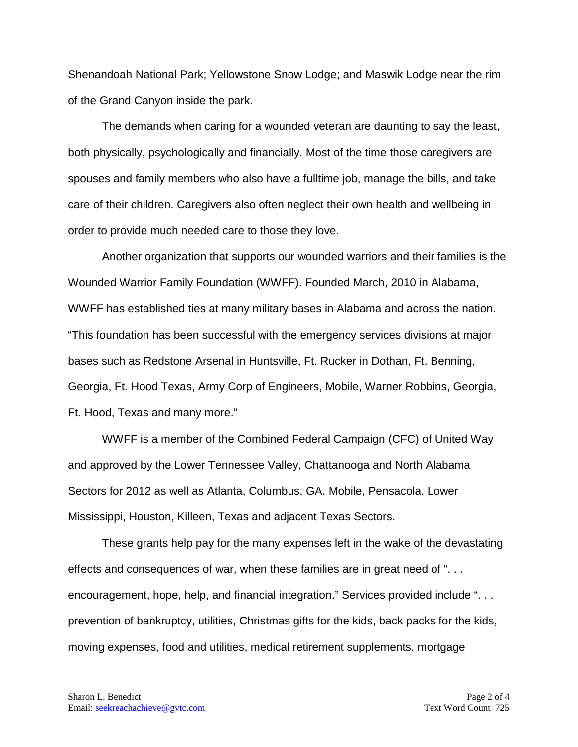Shenandoah National Park; Yellowstone Snow Lodge; and Maswik Lodge near the rim of the Grand Canyon inside the park.

The demands when caring for a wounded veteran are daunting to say the least, both physically, psychologically and financially. Most of the time those caregivers are spouses and family members who also have a fulltime job, manage the bills, and take care of their children. Caregivers also often neglect their own health and wellbeing in order to provide much needed care to those they love.

Another organization that supports our wounded warriors and their families is the Wounded Warrior Family Foundation (WWFF). Founded March, 2010 in Alabama, WWFF has established ties at many military bases in Alabama and across the nation. "This foundation has been successful with the emergency services divisions at major bases such as Redstone Arsenal in Huntsville, Ft. Rucker in Dothan, Ft. Benning, Georgia, Ft. Hood Texas, Army Corp of Engineers, Mobile, Warner Robbins, Georgia, Ft. Hood, Texas and many more."

WWFF is a member of the Combined Federal Campaign (CFC) of United Way and approved by the Lower Tennessee Valley, Chattanooga and North Alabama Sectors for 2012 as well as Atlanta, Columbus, GA. Mobile, Pensacola, Lower Mississippi, Houston, Killeen, Texas and adjacent Texas Sectors.

These grants help pay for the many expenses left in the wake of the devastating effects and consequences of war, when these families are in great need of ". . . encouragement, hope, help, and financial integration." Services provided include ". . . prevention of bankruptcy, utilities, Christmas gifts for the kids, back packs for the kids, moving expenses, food and utilities, medical retirement supplements, mortgage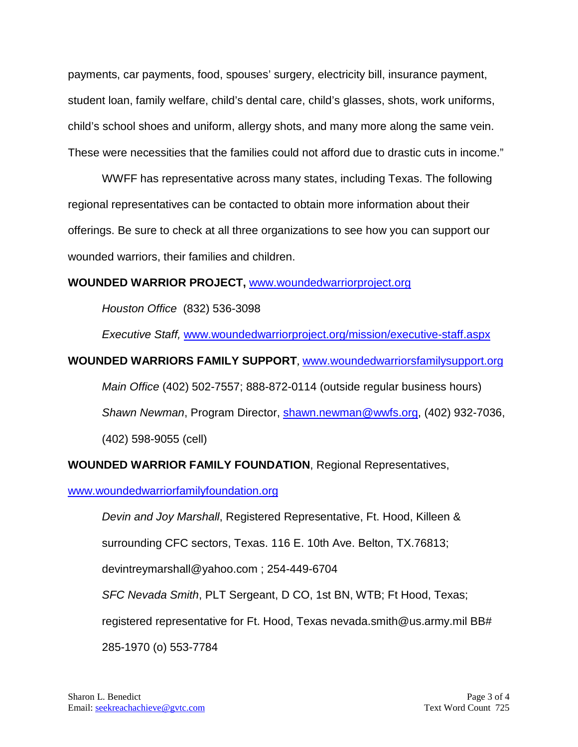payments, car payments, food, spouses' surgery, electricity bill, insurance payment, student loan, family welfare, child's dental care, child's glasses, shots, work uniforms, child's school shoes and uniform, allergy shots, and many more along the same vein. These were necessities that the families could not afford due to drastic cuts in income."

WWFF has representative across many states, including Texas. The following regional representatives can be contacted to obtain more information about their offerings. Be sure to check at all three organizations to see how you can support our wounded warriors, their families and children.

### **WOUNDED WARRIOR PROJECT,** [www.woundedwarriorproject.org](http://www.woundedwarriorproject.org/)

*Houston Office* (832) 536-3098

*Executive Staff,* [www.woundedwarriorproject.org/mission/executive-staff.aspx](http://www.woundedwarriorproject.org/mission/executive-staff.aspx)

## **WOUNDED WARRIORS FAMILY SUPPORT**, [www.woundedwarriorsfamilysupport.org](http://www.woundedwarriorsfamilysupport.org/)

*Main Office* (402) 502-7557; 888-872-0114 (outside regular business hours) *Shawn Newman*, Program Director, [shawn.newman@wwfs.org,](mailto:shawn.newman@wwfs.org) (402) 932-7036,

(402) 598-9055 (cell)

# **WOUNDED WARRIOR FAMILY FOUNDATION**, Regional Representatives,

### [www.woundedwarriorfamilyfoundation.org](http://www.woundedwarriorfamilyfoundation.org/)

*Devin and Joy Marshall*, Registered Representative, Ft. Hood, Killeen &

surrounding CFC sectors, Texas. 116 E. 10th Ave. Belton, TX.76813;

devintreymarshall@yahoo.com ; 254-449-6704

*SFC Nevada Smith*, PLT Sergeant, D CO, 1st BN, WTB; Ft Hood, Texas;

registered representative for Ft. Hood, Texas nevada.smith@us.army.mil BB#

285-1970 (o) 553-7784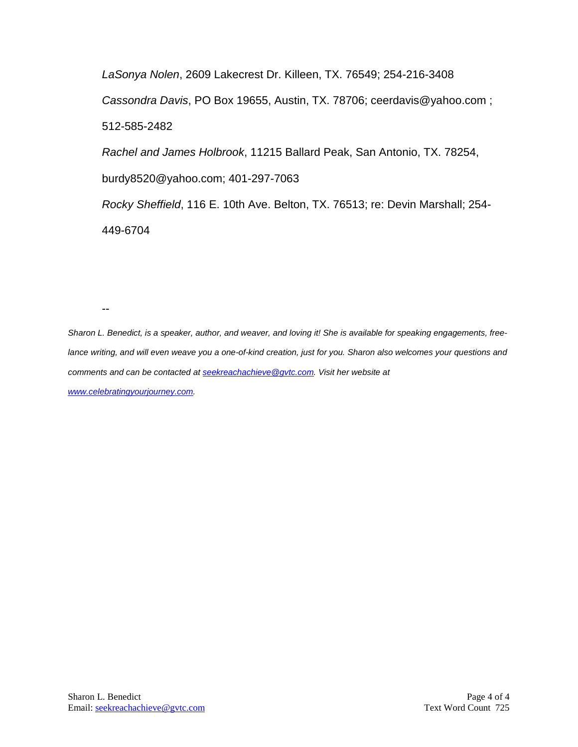*LaSonya Nolen*, 2609 Lakecrest Dr. Killeen, TX. 76549; 254-216-3408 *Cassondra Davis*, PO Box 19655, Austin, TX. 78706; ceerdavis@yahoo.com ; 512-585-2482 *Rachel and James Holbrook*, 11215 Ballard Peak, San Antonio, TX. 78254, burdy8520@yahoo.com; 401-297-7063 *Rocky Sheffield*, 116 E. 10th Ave. Belton, TX. 76513; re: Devin Marshall; 254- 449-6704

--

*Sharon L. Benedict, is a speaker, author, and weaver, and loving it! She is available for speaking engagements, free*lance writing, and will even weave you a one-of-kind creation, just for you. Sharon also welcomes your questions and *comments and can be contacted a[t seekreachachieve@gvtc.com.](mailto:seekreachachieve@gvtc.com) Visit her website at [www.celebratingyourjourney.com.](http://www.celebratingyourjourney.com/)*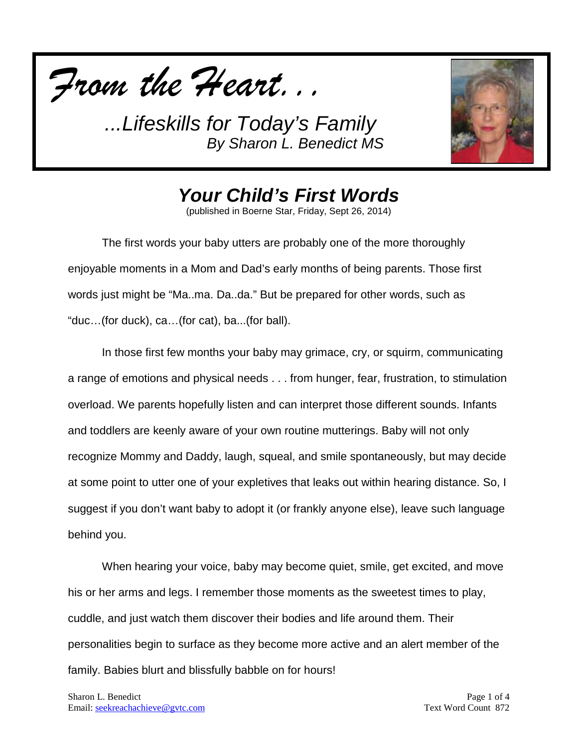



*Your Child's First Words*

(published in Boerne Star, Friday, Sept 26, 2014)

The first words your baby utters are probably one of the more thoroughly enjoyable moments in a Mom and Dad's early months of being parents. Those first words just might be "Ma..ma. Da..da." But be prepared for other words, such as "duc…(for duck), ca…(for cat), ba...(for ball).

In those first few months your baby may grimace, cry, or squirm, communicating a range of emotions and physical needs . . . from hunger, fear, frustration, to stimulation overload. We parents hopefully listen and can interpret those different sounds. Infants and toddlers are keenly aware of your own routine mutterings. Baby will not only recognize Mommy and Daddy, laugh, squeal, and smile spontaneously, but may decide at some point to utter one of your expletives that leaks out within hearing distance. So, I suggest if you don't want baby to adopt it (or frankly anyone else), leave such language behind you.

When hearing your voice, baby may become quiet, smile, get excited, and move his or her arms and legs. I remember those moments as the sweetest times to play, cuddle, and just watch them discover their bodies and life around them. Their personalities begin to surface as they become more active and an alert member of the family. Babies blurt and blissfully babble on for hours!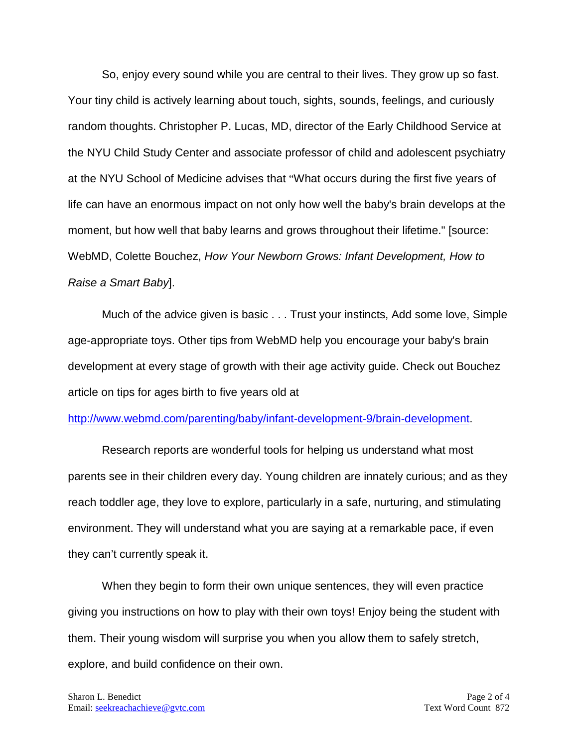So, enjoy every sound while you are central to their lives. They grow up so fast. Your tiny child is actively learning about touch, sights, sounds, feelings, and curiously random thoughts. Christopher P. Lucas, MD, director of the Early Childhood Service at the NYU Child Study Center and associate professor of child and adolescent psychiatry at the NYU School of Medicine advises that "What occurs during the first five years of life can have an enormous impact on not only how well the baby's brain develops at the moment, but how well that baby learns and grows throughout their lifetime." [source: WebMD, Colette Bouchez, *How Your Newborn Grows: Infant Development, How to Raise a Smart Baby*].

Much of the advice given is basic . . . Trust your instincts, Add some love, Simple age-appropriate toys. Other tips from WebMD help you encourage your baby's brain development at every stage of growth with their age activity guide. Check out Bouchez article on tips for ages birth to five years old at

#### [http://www.webmd.com/parenting/baby/infant-development-9/brain-development.](http://www.webmd.com/parenting/baby/infant-development-9/brain-development)

Research reports are wonderful tools for helping us understand what most parents see in their children every day. Young children are innately curious; and as they reach toddler age, they love to explore, particularly in a safe, nurturing, and stimulating environment. They will understand what you are saying at a remarkable pace, if even they can't currently speak it.

When they begin to form their own unique sentences, they will even practice giving you instructions on how to play with their own toys! Enjoy being the student with them. Their young wisdom will surprise you when you allow them to safely stretch, explore, and build confidence on their own.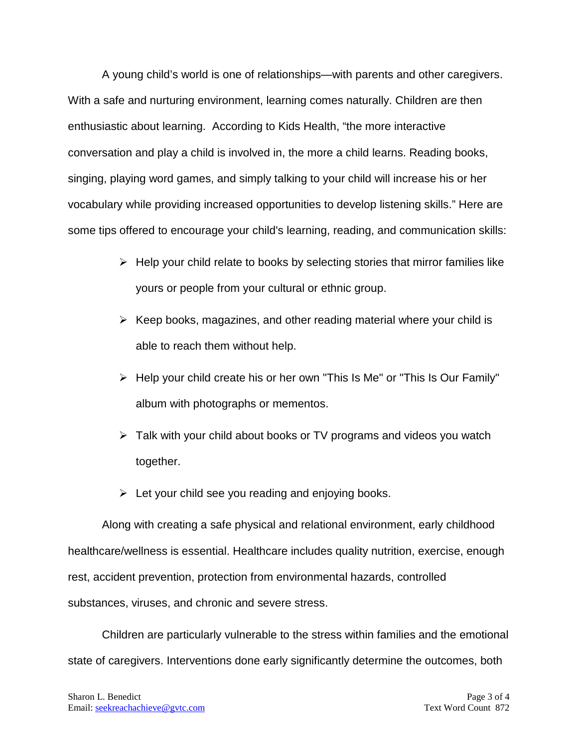A young child's world is one of relationships—with parents and other caregivers. With a safe and nurturing environment, learning comes naturally. Children are then enthusiastic about learning. According to Kids Health, "the more interactive conversation and play a child is involved in, the more a child learns. Reading books, singing, playing word games, and simply talking to your child will increase his or her vocabulary while providing increased opportunities to develop listening skills." Here are some tips offered to encourage your child's learning, reading, and communication skills:

- $\triangleright$  Help your child relate to books by selecting stories that mirror families like yours or people from your cultural or ethnic group.
- $\triangleright$  Keep books, magazines, and other reading material where your child is able to reach them without help.
- $\triangleright$  Help your child create his or her own "This Is Me" or "This Is Our Family" album with photographs or mementos.
- $\triangleright$  Talk with your child about books or TV programs and videos you watch together.
- $\triangleright$  Let your child see you reading and enjoying books.

Along with creating a safe physical and relational environment, early childhood healthcare/wellness is essential. Healthcare includes quality nutrition, exercise, enough rest, accident prevention, protection from environmental hazards, controlled substances, viruses, and chronic and severe stress.

Children are particularly vulnerable to the stress within families and the emotional state of caregivers. Interventions done early significantly determine the outcomes, both